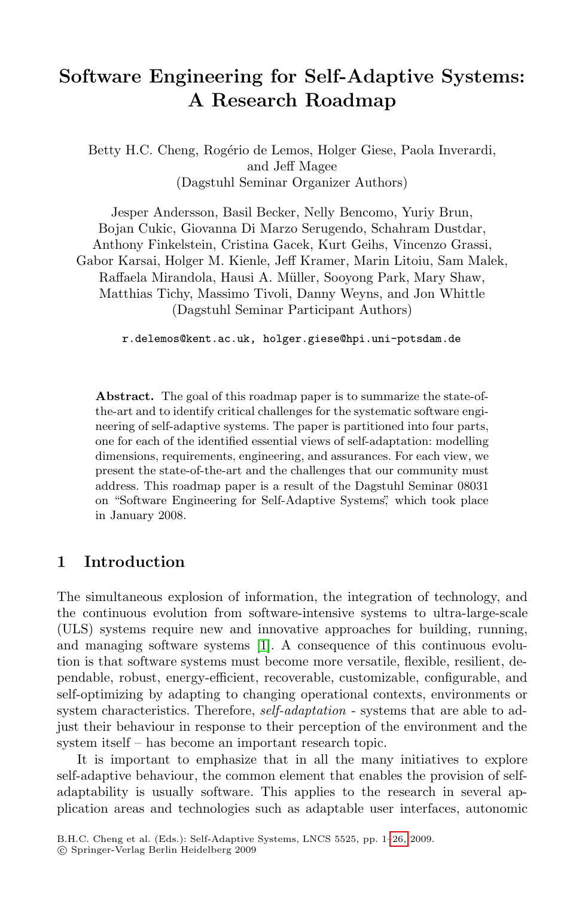# Software Engineering for Self-Adaptive Systems: A Research Roadmap

Betty H.C. Cheng, Rogério de Lemos, Holger Giese, Paola Inverardi, and Jeff Magee (Dagstuhl Seminar Organizer Authors)

Jesper Andersson, Basil Becker, Nelly Bencomo, Yuriy Brun, Bojan Cukic, Giovanna Di Marzo Serugendo, Schahram Dustdar, Anthony Finkelstein, Cristina Gacek, Kurt Geihs, Vincenzo Grassi, Gabor Karsai, Holger M. Kienle, Jeff Kramer, Marin Litoiu, Sam Malek, Raffaela Mirandola, Hausi A. Müller, Sooyong Park, Mary Shaw, Matthias Tichy, Massimo Tivoli, Danny Weyns, and Jon Whittle (Dagstuhl Seminar Participant Authors)

r.delemos@kent.ac.uk, holger.giese@hpi.uni-potsdam.de

Abstract. The goal of this roadmap paper is to summarize the state-ofthe-art and to identify critical challenges for the systematic software engineering of self-adaptive systems. The paper is partitioned into four parts, one for each of the identified essential views of self-adaptation: modelling dimensions, requirements, engineering, and assurances. For each view, we present the state-of-the-art and the challenges that our community must address. This roadmap paper is a result of the Dagstuhl Seminar 08031 on "Software Engineering for Self-Adaptive Systems", which took place in January 2008.

# 1 Introduction

The simultaneous explosion of information, the integration of technology, and the continuous evolution from software-intensive systems to ultra-large-scale (ULS) systems require new and innovative approaches for building, running, and managing software systems [\[1\]](#page-22-0). A consequence of this continuous evolution is that software systems must become more versatile, flexible, resilient, dependable, robust, energy-efficient, recoverable, customizable, configurable, and self-optimizing by adapting to changing operational contexts, environments or system characteristics. Therefore, self-adaptation - systems that are able to adjust their behaviour in response to their perception of the environment and the system itself – has become an important research topic.

It is important to emphasize that in all the many initiatives to explore self-adaptive behaviour, the common element that enables the provision of selfadaptability is usually software. This applies to the research in several application areas and technologies such as adaptable user interfaces, autonomic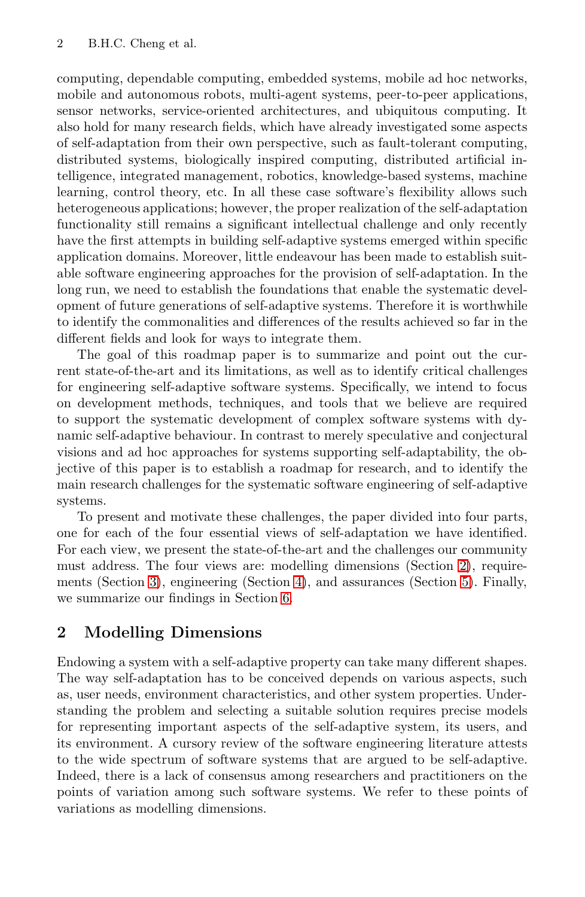computing, dependable computing, embedded systems, mobile ad hoc networks, mobile and autonomous robots, multi-agent systems, peer-to-peer applications, sensor networks, service-oriented architectures, and ubiquitous computing. It also hold for many research fields, which have already investigated some aspects of self-adaptation from their own perspective, such as fault-tolerant computing, distributed systems, biologically inspired computing, distributed artificial intelligence, integrated management, robotics, knowledge-based systems, machine learning, control theory, etc. In all these case software's flexibility allows such heterogeneous applications; however, the proper realization of the self-adaptation functionality still remains a significant intellectual challenge and only recently have the first attempts in building self-adaptive systems emerged within specific application domains. Moreover, little endeavour has been made to establish suitable software engineering approaches for the provision of self-adaptation. In the long run, we need to establish the foundations that enable the systematic development of future generations of self-adaptive systems. Therefore it is worthwhile to identify the commonalities and differences of the results achieved so far in the different fields and look for ways to integrate them.

The goal of this roadmap paper is to summarize and point out the current state-of-the-art and its limitations, as well as to identify critical challenges for engineering self-adaptive software systems. Specifically, we intend to focus on development methods, techniques, and tools that we believe are required to support the systematic development of complex software systems with dynamic self-adaptive behaviour. In contrast to merely speculative and conjectural visions and ad hoc approaches for systems supporting self-adaptability, the objective of this paper is to establish a roadmap for research, and to identify the main research challenges for the systematic software engineering of self-adaptive systems.

<span id="page-1-0"></span>To present and motivate these challenges, the paper divided into four parts, one for each of the four essential views of self-adaptation we have identified. For each view, we present the state-of-the-art and the challenges our community must address. The four views are: modelling dimensions (Section [2\)](#page-1-0), requirements (Section [3\)](#page-8-0), engineering (Section [4\)](#page-11-0), and assurances (Section [5\)](#page-17-0). Finally, we summarize our findings in Section [6.](#page-20-0)

# 2 Modelling Dimensions

Endowing a system with a self-adaptive property can take many different shapes. The way self-adaptation has to be conceived depends on various aspects, such as, user needs, environment characteristics, and other system properties. Understanding the problem and selecting a suitable solution requires precise models for representing important aspects of the self-adaptive system, its users, and its environment. A cursory review of the software engineering literature attests to the wide spectrum of software systems that are argued to be self-adaptive. Indeed, there is a lack of consensus among researchers and practitioners on the points of variation among such software systems. We refer to these points of variations as modelling dimensions.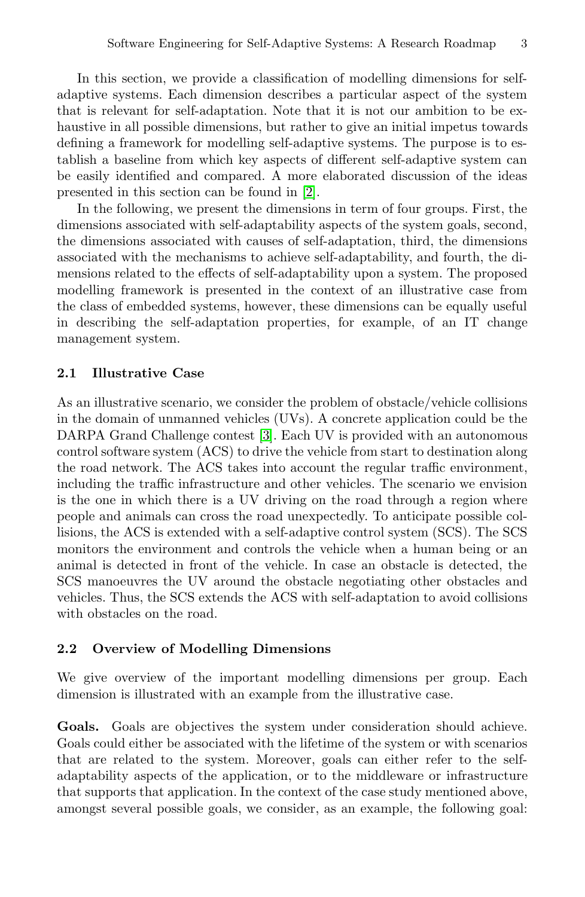In this section, we provide a classification of modelling dimensions for selfadaptive systems. Each dimension describes a particular aspect of the system that is relevant for self-adaptation. Note that it is not our ambition to be exhaustive in all possible dimensions, but rather to give an initial impetus towards defining a framework for modelling self-adaptive systems. The purpose is to establish a baseline from which key aspects of different self-adaptive system can be easily identified and compared. A more elaborated discussion of the ideas presented in this section can be found in [\[2\]](#page-23-1).

In the following, we present the dimensions in term of four groups. First, the dimensions associated with self-adaptability aspects of the system goals, second, the dimensions associated with causes of self-adaptation, third, the dimensions associated with the mechanisms to achieve self-adaptability, and fourth, the dimensions related to the effects of self-adaptability upon a system. The proposed modelling framework is presented in the context of an illustrative case from the class of embedded systems, however, these dimensions can be equally useful in describing the self-adaptation properties, for example, of an IT change management system.

#### 2.1 Illustrative Case

As an illustrative scenario, we consider the problem of obstacle/vehicle collisions in the domain of unmanned vehicles (UVs). A concrete application could be the DARPA Grand Challenge contest [\[3\]](#page-23-0). Each UV is provided with an autonomous control software system (ACS) to drive the vehicle from start to destination along the road network. The ACS takes into account the regular traffic environment, including the traffic infrastructure and other vehicles. The scenario we envision is the one in which there is a UV driving on the road through a region where people and animals can cross the road unexpectedly. To anticipate possible collisions, the ACS is extended with a self-adaptive control system (SCS). The SCS monitors the environment and controls the vehicle when a human being or an animal is detected in front of the vehicle. In case an obstacle is detected, the SCS manoeuvres the UV around the obstacle negotiating other obstacles and vehicles. Thus, the SCS extends the ACS with self-adaptation to avoid collisions with obstacles on the road.

#### 2.2 Overview of Modelling Dimensions

We give overview of the important modelling dimensions per group. Each dimension is illustrated with an example from the illustrative case.

Goals. Goals are objectives the system under consideration should achieve. Goals could either be associated with the lifetime of the system or with scenarios that are related to the system. Moreover, goals can either refer to the selfadaptability aspects of the application, or to the middleware or infrastructure that supports that application. In the context of the case study mentioned above, amongst several possible goals, we consider, as an example, the following goal: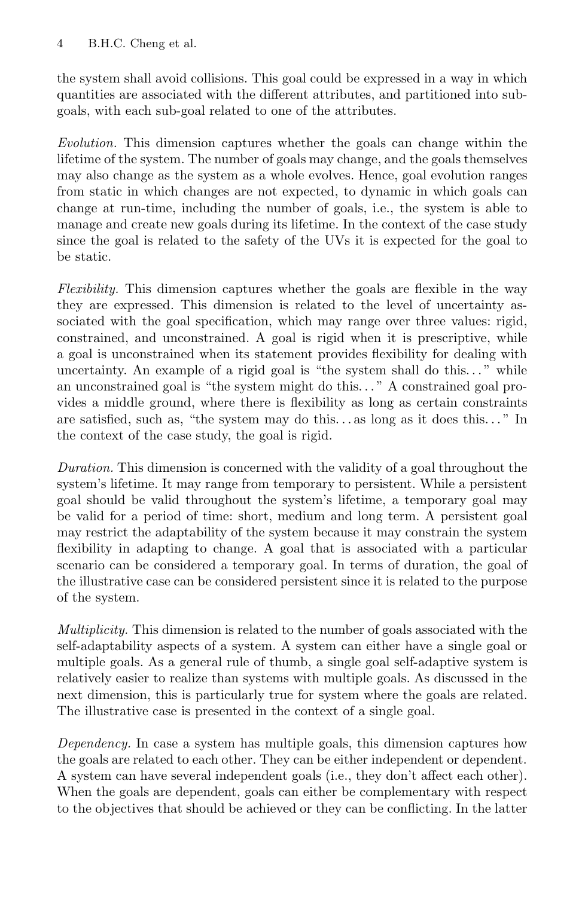the system shall avoid collisions. This goal could be expressed in a way in which quantities are associated with the different attributes, and partitioned into subgoals, with each sub-goal related to one of the attributes.

Evolution. This dimension captures whether the goals can change within the lifetime of the system. The number of goals may change, and the goals themselves may also change as the system as a whole evolves. Hence, goal evolution ranges from static in which changes are not expected, to dynamic in which goals can change at run-time, including the number of goals, i.e., the system is able to manage and create new goals during its lifetime. In the context of the case study since the goal is related to the safety of the UVs it is expected for the goal to be static.

Flexibility. This dimension captures whether the goals are flexible in the way they are expressed. This dimension is related to the level of uncertainty associated with the goal specification, which may range over three values: rigid, constrained, and unconstrained. A goal is rigid when it is prescriptive, while a goal is unconstrained when its statement provides flexibility for dealing with uncertainty. An example of a rigid goal is "the system shall do this. . . " while an unconstrained goal is "the system might do this. . . " A constrained goal provides a middle ground, where there is flexibility as long as certain constraints are satisfied, such as, "the system may do this. . . as long as it does this. . . " In the context of the case study, the goal is rigid.

Duration. This dimension is concerned with the validity of a goal throughout the system's lifetime. It may range from temporary to persistent. While a persistent goal should be valid throughout the system's lifetime, a temporary goal may be valid for a period of time: short, medium and long term. A persistent goal may restrict the adaptability of the system because it may constrain the system flexibility in adapting to change. A goal that is associated with a particular scenario can be considered a temporary goal. In terms of duration, the goal of the illustrative case can be considered persistent since it is related to the purpose of the system.

Multiplicity. This dimension is related to the number of goals associated with the self-adaptability aspects of a system. A system can either have a single goal or multiple goals. As a general rule of thumb, a single goal self-adaptive system is relatively easier to realize than systems with multiple goals. As discussed in the next dimension, this is particularly true for system where the goals are related. The illustrative case is presented in the context of a single goal.

Dependency. In case a system has multiple goals, this dimension captures how the goals are related to each other. They can be either independent or dependent. A system can have several independent goals (i.e., they don't affect each other). When the goals are dependent, goals can either be complementary with respect to the objectives that should be achieved or they can be conflicting. In the latter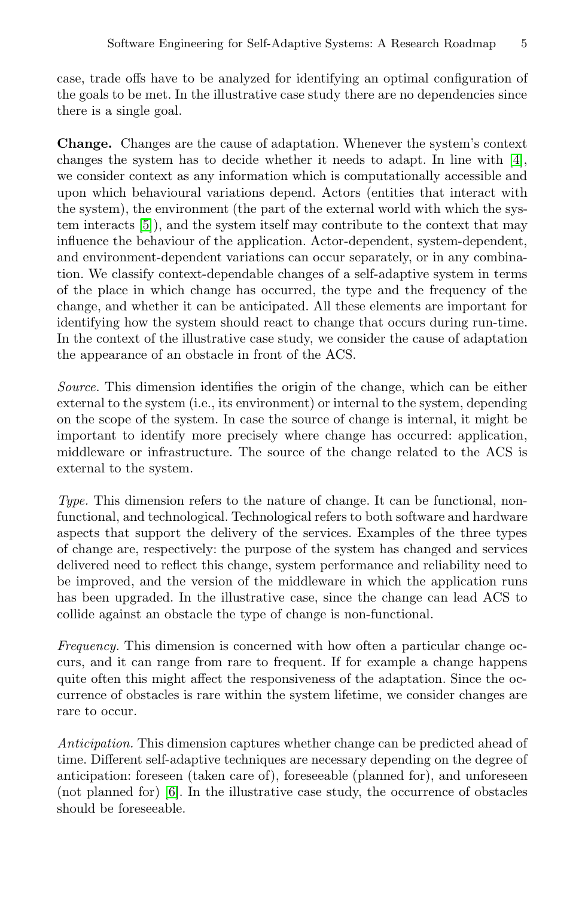case, trade offs have to be analyzed for identifying an optimal configuration of the goals to be met. In the illustrative case study there are no dependencies since there is a single goal.

Change. Changes are the cause of adaptation. Whenever the system's context changes the system has to decide whether it needs to adapt. In line with [\[4\]](#page-23-3), we consider context as any information which is computationally accessible and upon which behavioural variations depend. Actors (entities that interact with the system), the environment (the part of the external world with which the system interacts [\[5\]](#page-23-4)), and the system itself may contribute to the context that may influence the behaviour of the application. Actor-dependent, system-dependent, and environment-dependent variations can occur separately, or in any combination. We classify context-dependable changes of a self-adaptive system in terms of the place in which change has occurred, the type and the frequency of the change, and whether it can be anticipated. All these elements are important for identifying how the system should react to change that occurs during run-time. In the context of the illustrative case study, we consider the cause of adaptation the appearance of an obstacle in front of the ACS.

Source. This dimension identifies the origin of the change, which can be either external to the system (i.e., its environment) or internal to the system, depending on the scope of the system. In case the source of change is internal, it might be important to identify more precisely where change has occurred: application, middleware or infrastructure. The source of the change related to the ACS is external to the system.

Type. This dimension refers to the nature of change. It can be functional, nonfunctional, and technological. Technological refers to both software and hardware aspects that support the delivery of the services. Examples of the three types of change are, respectively: the purpose of the system has changed and services delivered need to reflect this change, system performance and reliability need to be improved, and the version of the middleware in which the application runs has been upgraded. In the illustrative case, since the change can lead ACS to collide against an obstacle the type of change is non-functional.

Frequency. This dimension is concerned with how often a particular change occurs, and it can range from rare to frequent. If for example a change happens quite often this might affect the responsiveness of the adaptation. Since the occurrence of obstacles is rare within the system lifetime, we consider changes are rare to occur.

Anticipation. This dimension captures whether change can be predicted ahead of time. Different self-adaptive techniques are necessary depending on the degree of anticipation: foreseen (taken care of), foreseeable (planned for), and unforeseen (not planned for) [\[6\]](#page-23-2). In the illustrative case study, the occurrence of obstacles should be foreseeable.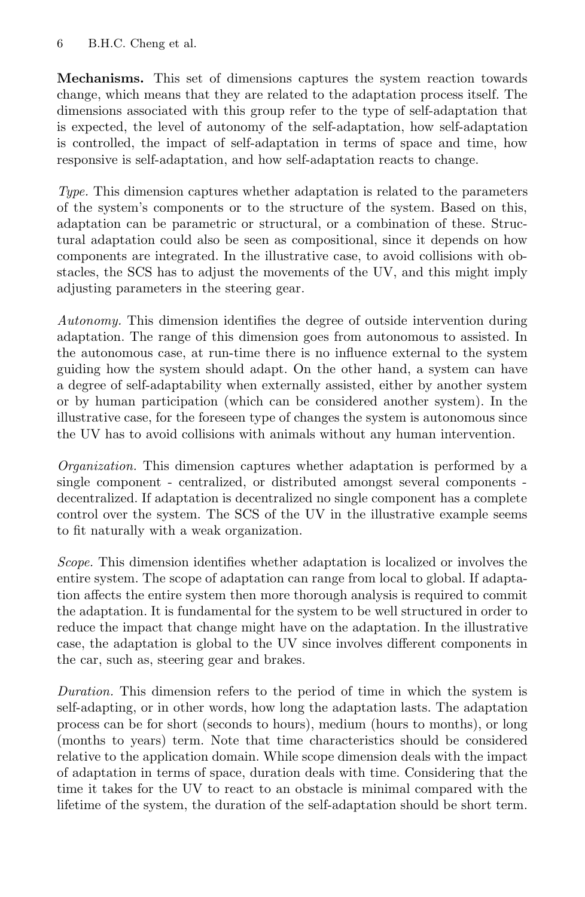Mechanisms. This set of dimensions captures the system reaction towards change, which means that they are related to the adaptation process itself. The dimensions associated with this group refer to the type of self-adaptation that is expected, the level of autonomy of the self-adaptation, how self-adaptation is controlled, the impact of self-adaptation in terms of space and time, how responsive is self-adaptation, and how self-adaptation reacts to change.

Type. This dimension captures whether adaptation is related to the parameters of the system's components or to the structure of the system. Based on this, adaptation can be parametric or structural, or a combination of these. Structural adaptation could also be seen as compositional, since it depends on how components are integrated. In the illustrative case, to avoid collisions with obstacles, the SCS has to adjust the movements of the UV, and this might imply adjusting parameters in the steering gear.

Autonomy. This dimension identifies the degree of outside intervention during adaptation. The range of this dimension goes from autonomous to assisted. In the autonomous case, at run-time there is no influence external to the system guiding how the system should adapt. On the other hand, a system can have a degree of self-adaptability when externally assisted, either by another system or by human participation (which can be considered another system). In the illustrative case, for the foreseen type of changes the system is autonomous since the UV has to avoid collisions with animals without any human intervention.

Organization. This dimension captures whether adaptation is performed by a single component - centralized, or distributed amongst several components decentralized. If adaptation is decentralized no single component has a complete control over the system. The SCS of the UV in the illustrative example seems to fit naturally with a weak organization.

Scope. This dimension identifies whether adaptation is localized or involves the entire system. The scope of adaptation can range from local to global. If adaptation affects the entire system then more thorough analysis is required to commit the adaptation. It is fundamental for the system to be well structured in order to reduce the impact that change might have on the adaptation. In the illustrative case, the adaptation is global to the UV since involves different components in the car, such as, steering gear and brakes.

Duration. This dimension refers to the period of time in which the system is self-adapting, or in other words, how long the adaptation lasts. The adaptation process can be for short (seconds to hours), medium (hours to months), or long (months to years) term. Note that time characteristics should be considered relative to the application domain. While scope dimension deals with the impact of adaptation in terms of space, duration deals with time. Considering that the time it takes for the UV to react to an obstacle is minimal compared with the lifetime of the system, the duration of the self-adaptation should be short term.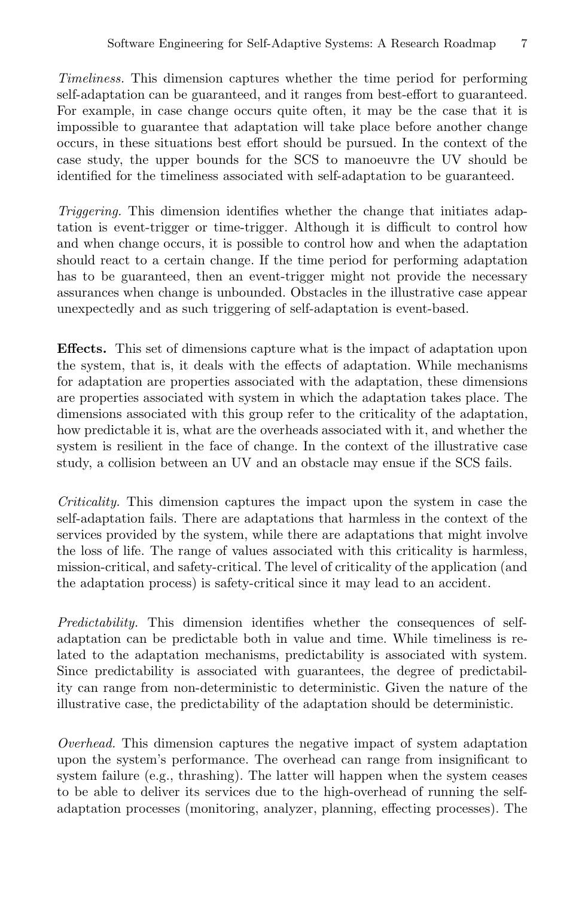Timeliness. This dimension captures whether the time period for performing self-adaptation can be guaranteed, and it ranges from best-effort to guaranteed. For example, in case change occurs quite often, it may be the case that it is impossible to guarantee that adaptation will take place before another change occurs, in these situations best effort should be pursued. In the context of the case study, the upper bounds for the SCS to manoeuvre the UV should be identified for the timeliness associated with self-adaptation to be guaranteed.

Triggering. This dimension identifies whether the change that initiates adaptation is event-trigger or time-trigger. Although it is difficult to control how and when change occurs, it is possible to control how and when the adaptation should react to a certain change. If the time period for performing adaptation has to be guaranteed, then an event-trigger might not provide the necessary assurances when change is unbounded. Obstacles in the illustrative case appear unexpectedly and as such triggering of self-adaptation is event-based.

Effects. This set of dimensions capture what is the impact of adaptation upon the system, that is, it deals with the effects of adaptation. While mechanisms for adaptation are properties associated with the adaptation, these dimensions are properties associated with system in which the adaptation takes place. The dimensions associated with this group refer to the criticality of the adaptation, how predictable it is, what are the overheads associated with it, and whether the system is resilient in the face of change. In the context of the illustrative case study, a collision between an UV and an obstacle may ensue if the SCS fails.

Criticality. This dimension captures the impact upon the system in case the self-adaptation fails. There are adaptations that harmless in the context of the services provided by the system, while there are adaptations that might involve the loss of life. The range of values associated with this criticality is harmless, mission-critical, and safety-critical. The level of criticality of the application (and the adaptation process) is safety-critical since it may lead to an accident.

Predictability. This dimension identifies whether the consequences of selfadaptation can be predictable both in value and time. While timeliness is related to the adaptation mechanisms, predictability is associated with system. Since predictability is associated with guarantees, the degree of predictability can range from non-deterministic to deterministic. Given the nature of the illustrative case, the predictability of the adaptation should be deterministic.

Overhead. This dimension captures the negative impact of system adaptation upon the system's performance. The overhead can range from insignificant to system failure (e.g., thrashing). The latter will happen when the system ceases to be able to deliver its services due to the high-overhead of running the selfadaptation processes (monitoring, analyzer, planning, effecting processes). The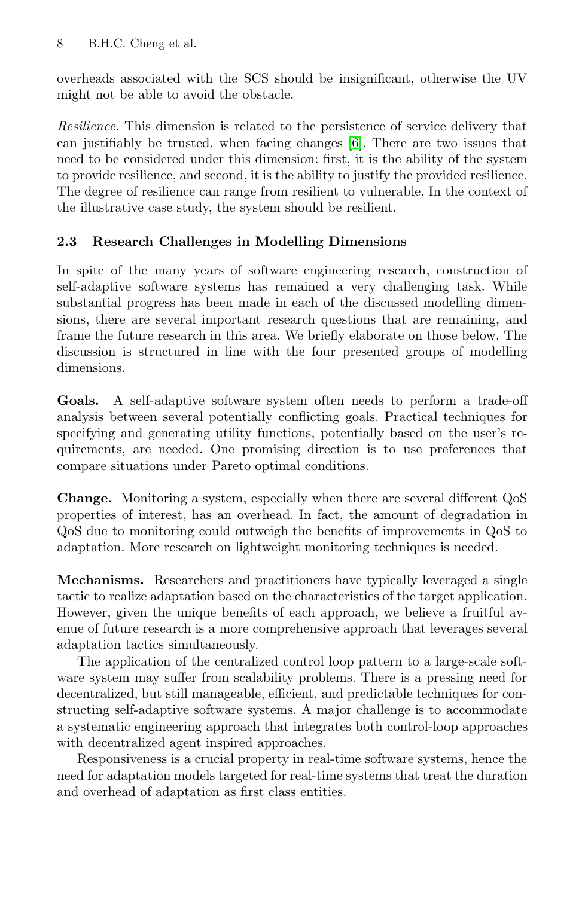overheads associated with the SCS should be insignificant, otherwise the UV might not be able to avoid the obstacle.

Resilience. This dimension is related to the persistence of service delivery that can justifiably be trusted, when facing changes [\[6\]](#page-23-2). There are two issues that need to be considered under this dimension: first, it is the ability of the system to provide resilience, and second, it is the ability to justify the provided resilience. The degree of resilience can range from resilient to vulnerable. In the context of the illustrative case study, the system should be resilient.

# 2.3 Research Challenges in Modelling Dimensions

In spite of the many years of software engineering research, construction of self-adaptive software systems has remained a very challenging task. While substantial progress has been made in each of the discussed modelling dimensions, there are several important research questions that are remaining, and frame the future research in this area. We briefly elaborate on those below. The discussion is structured in line with the four presented groups of modelling dimensions.

Goals. A self-adaptive software system often needs to perform a trade-off analysis between several potentially conflicting goals. Practical techniques for specifying and generating utility functions, potentially based on the user's requirements, are needed. One promising direction is to use preferences that compare situations under Pareto optimal conditions.

Change. Monitoring a system, especially when there are several different QoS properties of interest, has an overhead. In fact, the amount of degradation in QoS due to monitoring could outweigh the benefits of improvements in QoS to adaptation. More research on lightweight monitoring techniques is needed.

Mechanisms. Researchers and practitioners have typically leveraged a single tactic to realize adaptation based on the characteristics of the target application. However, given the unique benefits of each approach, we believe a fruitful avenue of future research is a more comprehensive approach that leverages several adaptation tactics simultaneously.

The application of the centralized control loop pattern to a large-scale software system may suffer from scalability problems. There is a pressing need for decentralized, but still manageable, efficient, and predictable techniques for constructing self-adaptive software systems. A major challenge is to accommodate a systematic engineering approach that integrates both control-loop approaches with decentralized agent inspired approaches.

Responsiveness is a crucial property in real-time software systems, hence the need for adaptation models targeted for real-time systems that treat the duration and overhead of adaptation as first class entities.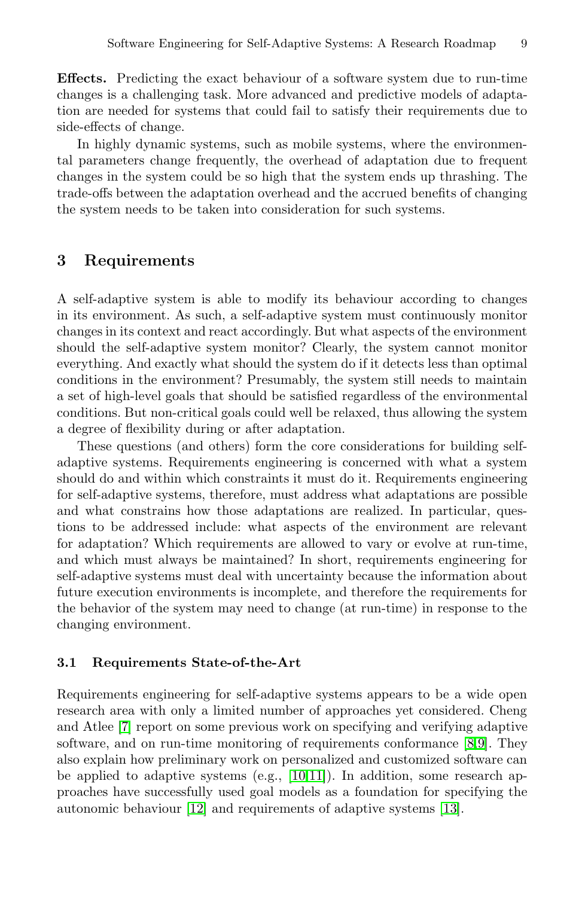Effects. Predicting the exact behaviour of a software system due to run-time changes is a challenging task. More advanced and predictive models of adaptation are needed for systems that could fail to satisfy their requirements due to side-effects of change.

<span id="page-8-0"></span>In highly dynamic systems, such as mobile systems, where the environmental parameters change frequently, the overhead of adaptation due to frequent changes in the system could be so high that the system ends up thrashing. The trade-offs between the adaptation overhead and the accrued benefits of changing the system needs to be taken into consideration for such systems.

### 3 Requirements

A self-adaptive system is able to modify its behaviour according to changes in its environment. As such, a self-adaptive system must continuously monitor changes in its context and react accordingly. But what aspects of the environment should the self-adaptive system monitor? Clearly, the system cannot monitor everything. And exactly what should the system do if it detects less than optimal conditions in the environment? Presumably, the system still needs to maintain a set of high-level goals that should be satisfied regardless of the environmental conditions. But non-critical goals could well be relaxed, thus allowing the system a degree of flexibility during or after adaptation.

These questions (and others) form the core considerations for building selfadaptive systems. Requirements engineering is concerned with what a system should do and within which constraints it must do it. Requirements engineering for self-adaptive systems, therefore, must address what adaptations are possible and what constrains how those adaptations are realized. In particular, questions to be addressed include: what aspects of the environment are relevant for adaptation? Which requirements are allowed to vary or evolve at run-time, and which must always be maintained? In short, requirements engineering for self-adaptive systems must deal with uncertainty because the information about future execution environments is incomplete, and therefore the requirements for the behavior of the system may need to change (at run-time) in response to the changing environment.

#### 3.1 Requirements State-of-the-Art

Requirements engineering for self-adaptive systems appears to be a wide open research area with only a limited number of approaches yet considered. Cheng and Atlee [\[7\]](#page-23-6) report on some previous work on specifying and verifying adaptive software, and on run-time monitoring of requirements conformance [\[8](#page-23-7)[,9\]](#page-23-8). They also explain how preliminary work on personalized and customized software can be applied to adaptive systems (e.g.,  $[10,11]$  $[10,11]$ ). In addition, some research approaches have successfully used goal models as a foundation for specifying the autonomic behaviour [\[12\]](#page-23-11) and requirements of adaptive systems [\[13\]](#page-23-5).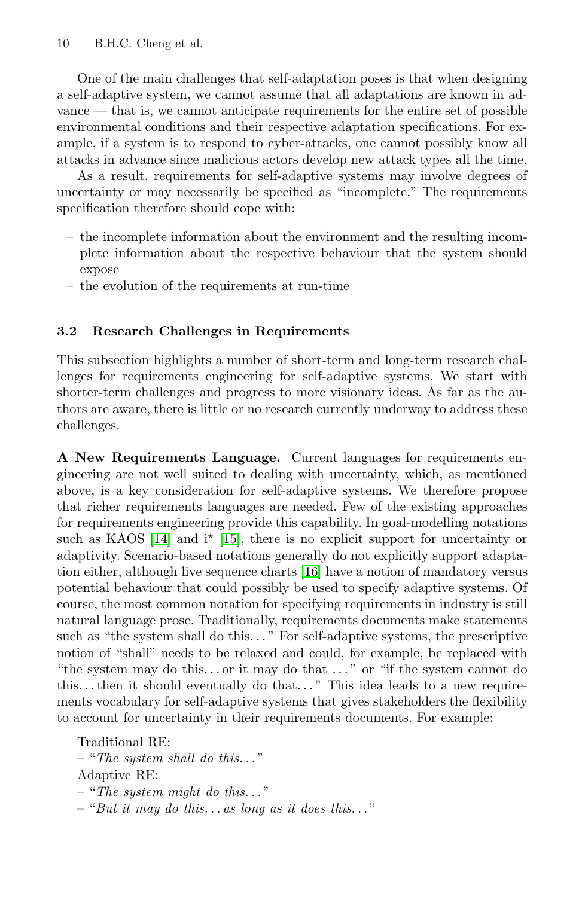One of the main challenges that self-adaptation poses is that when designing a self-adaptive system, we cannot assume that all adaptations are known in advance — that is, we cannot anticipate requirements for the entire set of possible environmental conditions and their respective adaptation specifications. For example, if a system is to respond to cyber-attacks, one cannot possibly know all attacks in advance since malicious actors develop new attack types all the time.

As a result, requirements for self-adaptive systems may involve degrees of uncertainty or may necessarily be specified as "incomplete." The requirements specification therefore should cope with:

- the incomplete information about the environment and the resulting incomplete information about the respective behaviour that the system should expose
- the evolution of the requirements at run-time

# 3.2 Research Challenges in Requirements

This subsection highlights a number of short-term and long-term research challenges for requirements engineering for self-adaptive systems. We start with shorter-term challenges and progress to more visionary ideas. As far as the authors are aware, there is little or no research currently underway to address these challenges.

A New Requirements Language. Current languages for requirements engineering are not well suited to dealing with uncertainty, which, as mentioned above, is a key consideration for self-adaptive systems. We therefore propose that richer requirements languages are needed. Few of the existing approaches for requirements engineering provide this capability. In goal-modelling notations such as KAOS [\[14\]](#page-23-13) and  $\mathbf{i}^*$  [\[15\]](#page-23-14), there is no explicit support for uncertainty or adaptivity. Scenario-based notations generally do not explicitly support adaptation either, although live sequence charts [\[16\]](#page-23-12) have a notion of mandatory versus potential behaviour that could possibly be used to specify adaptive systems. Of course, the most common notation for specifying requirements in industry is still natural language prose. Traditionally, requirements documents make statements such as "the system shall do this..." For self-adaptive systems, the prescriptive notion of "shall" needs to be relaxed and could, for example, be replaced with "the system may do this. . . or it may do that . . . " or "if the system cannot do this... then it should eventually do that..." This idea leads to a new requirements vocabulary for self-adaptive systems that gives stakeholders the flexibility to account for uncertainty in their requirements documents. For example:

Traditional RE:

 $-$  "The system shall do this..."

Adaptive RE:

 $-$  "The system might do this..."

 $-$  "But it may do this... as long as it does this..."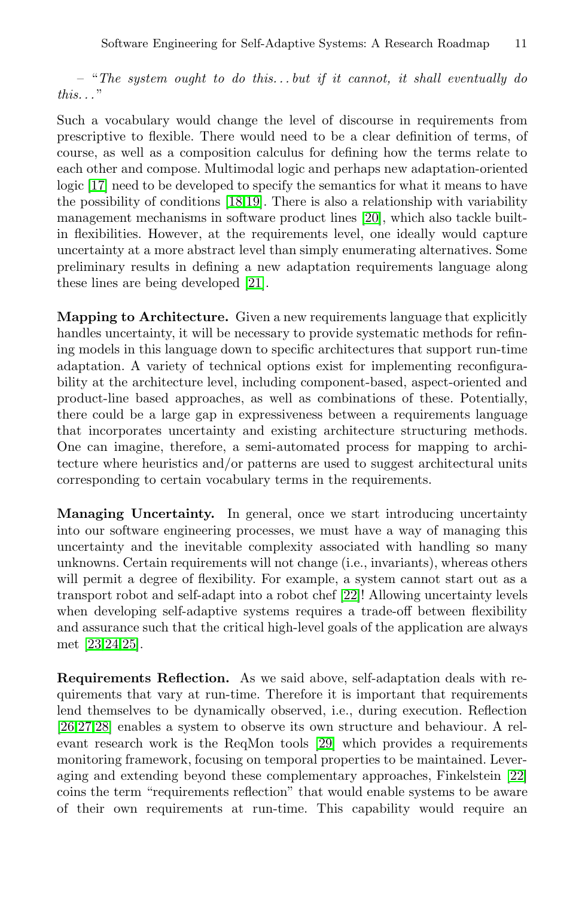$-$  "The system ought to do this...but if it cannot, it shall eventually do this..."

Such a vocabulary would change the level of discourse in requirements from prescriptive to flexible. There would need to be a clear definition of terms, of course, as well as a composition calculus for defining how the terms relate to each other and compose. Multimodal logic and perhaps new adaptation-oriented logic [\[17\]](#page-23-15) need to be developed to specify the semantics for what it means to have the possibility of conditions [\[18](#page-23-16)[,19\]](#page-24-1). There is also a relationship with variability management mechanisms in software product lines [\[20\]](#page-24-2), which also tackle builtin flexibilities. However, at the requirements level, one ideally would capture uncertainty at a more abstract level than simply enumerating alternatives. Some preliminary results in defining a new adaptation requirements language along these lines are being developed [\[21\]](#page-24-3).

Mapping to Architecture. Given a new requirements language that explicitly handles uncertainty, it will be necessary to provide systematic methods for refining models in this language down to specific architectures that support run-time adaptation. A variety of technical options exist for implementing reconfigurability at the architecture level, including component-based, aspect-oriented and product-line based approaches, as well as combinations of these. Potentially, there could be a large gap in expressiveness between a requirements language that incorporates uncertainty and existing architecture structuring methods. One can imagine, therefore, a semi-automated process for mapping to architecture where heuristics and/or patterns are used to suggest architectural units corresponding to certain vocabulary terms in the requirements.

Managing Uncertainty. In general, once we start introducing uncertainty into our software engineering processes, we must have a way of managing this uncertainty and the inevitable complexity associated with handling so many unknowns. Certain requirements will not change (i.e., invariants), whereas others will permit a degree of flexibility. For example, a system cannot start out as a transport robot and self-adapt into a robot chef [\[22\]](#page-24-0)! Allowing uncertainty levels when developing self-adaptive systems requires a trade-off between flexibility and assurance such that the critical high-level goals of the application are always met [\[23](#page-24-4)[,24](#page-24-5)[,25\]](#page-24-6).

Requirements Reflection. As we said above, self-adaptation deals with requirements that vary at run-time. Therefore it is important that requirements lend themselves to be dynamically observed, i.e., during execution. Reflection [\[26,](#page-24-7)[27](#page-24-8)[,28\]](#page-24-9) enables a system to observe its own structure and behaviour. A relevant research work is the ReqMon tools [\[29\]](#page-24-10) which provides a requirements monitoring framework, focusing on temporal properties to be maintained. Leveraging and extending beyond these complementary approaches, Finkelstein [\[22\]](#page-24-0) coins the term "requirements reflection" that would enable systems to be aware of their own requirements at run-time. This capability would require an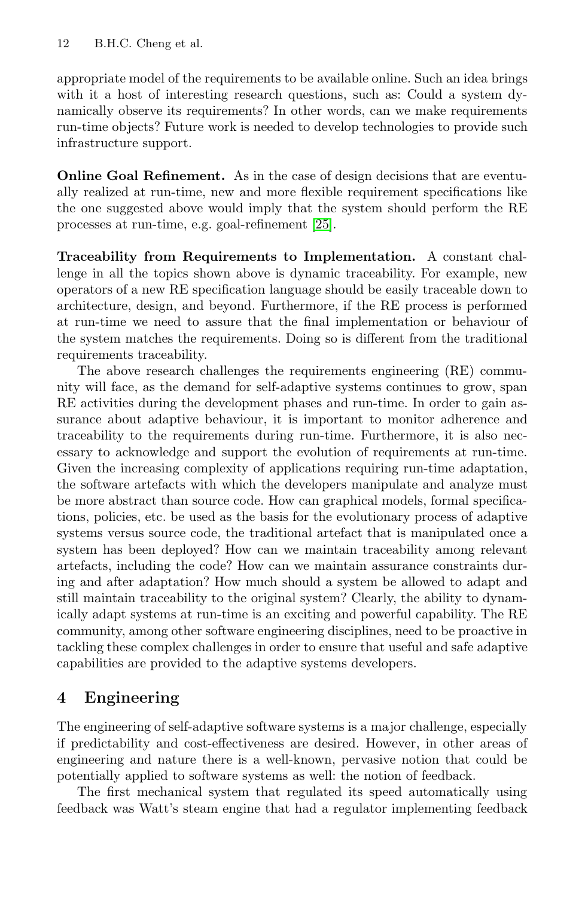appropriate model of the requirements to be available online. Such an idea brings with it a host of interesting research questions, such as: Could a system dynamically observe its requirements? In other words, can we make requirements run-time objects? Future work is needed to develop technologies to provide such infrastructure support.

Online Goal Refinement. As in the case of design decisions that are eventually realized at run-time, new and more flexible requirement specifications like the one suggested above would imply that the system should perform the RE processes at run-time, e.g. goal-refinement [\[25\]](#page-24-6).

Traceability from Requirements to Implementation. A constant challenge in all the topics shown above is dynamic traceability. For example, new operators of a new RE specification language should be easily traceable down to architecture, design, and beyond. Furthermore, if the RE process is performed at run-time we need to assure that the final implementation or behaviour of the system matches the requirements. Doing so is different from the traditional requirements traceability.

The above research challenges the requirements engineering (RE) community will face, as the demand for self-adaptive systems continues to grow, span RE activities during the development phases and run-time. In order to gain assurance about adaptive behaviour, it is important to monitor adherence and traceability to the requirements during run-time. Furthermore, it is also necessary to acknowledge and support the evolution of requirements at run-time. Given the increasing complexity of applications requiring run-time adaptation, the software artefacts with which the developers manipulate and analyze must be more abstract than source code. How can graphical models, formal specifications, policies, etc. be used as the basis for the evolutionary process of adaptive systems versus source code, the traditional artefact that is manipulated once a system has been deployed? How can we maintain traceability among relevant artefacts, including the code? How can we maintain assurance constraints during and after adaptation? How much should a system be allowed to adapt and still maintain traceability to the original system? Clearly, the ability to dynamically adapt systems at run-time is an exciting and powerful capability. The RE community, among other software engineering disciplines, need to be proactive in tackling these complex challenges in order to ensure that useful and safe adaptive capabilities are provided to the adaptive systems developers.

# <span id="page-11-0"></span>4 Engineering

The engineering of self-adaptive software systems is a major challenge, especially if predictability and cost-effectiveness are desired. However, in other areas of engineering and nature there is a well-known, pervasive notion that could be potentially applied to software systems as well: the notion of feedback.

The first mechanical system that regulated its speed automatically using feedback was Watt's steam engine that had a regulator implementing feedback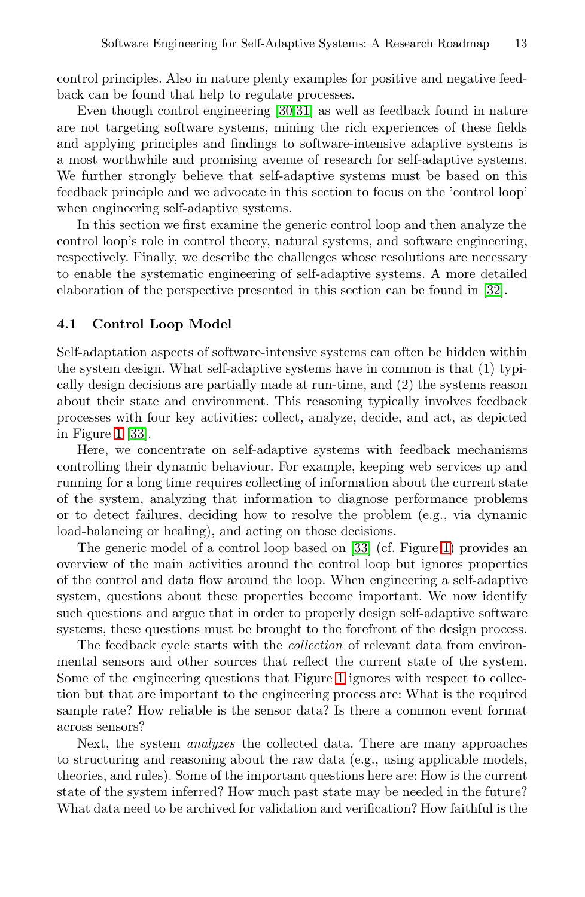control principles. Also in nature plenty examples for positive and negative feedback can be found that help to regulate processes.

Even though control engineering [\[30](#page-24-11)[,31\]](#page-24-12) as well as feedback found in nature are not targeting software systems, mining the rich experiences of these fields and applying principles and findings to software-intensive adaptive systems is a most worthwhile and promising avenue of research for self-adaptive systems. We further strongly believe that self-adaptive systems must be based on this feedback principle and we advocate in this section to focus on the 'control loop' when engineering self-adaptive systems.

In this section we first examine the generic control loop and then analyze the control loop's role in control theory, natural systems, and software engineering, respectively. Finally, we describe the challenges whose resolutions are necessary to enable the systematic engineering of self-adaptive systems. A more detailed elaboration of the perspective presented in this section can be found in [\[32\]](#page-24-13).

#### 4.1 Control Loop Model

Self-adaptation aspects of software-intensive systems can often be hidden within the system design. What self-adaptive systems have in common is that (1) typically design decisions are partially made at run-time, and (2) the systems reason about their state and environment. This reasoning typically involves feedback processes with four key activities: collect, analyze, decide, and act, as depicted in Figure [1](#page-13-0) [\[33\]](#page-24-14).

Here, we concentrate on self-adaptive systems with feedback mechanisms controlling their dynamic behaviour. For example, keeping web services up and running for a long time requires collecting of information about the current state of the system, analyzing that information to diagnose performance problems or to detect failures, deciding how to resolve the problem (e.g., via dynamic load-balancing or healing), and acting on those decisions.

The generic model of a control loop based on [\[33\]](#page-24-14) (cf. Figure [1\)](#page-13-0) provides an overview of the main activities around the control loop but ignores properties of the control and data flow around the loop. When engineering a self-adaptive system, questions about these properties become important. We now identify such questions and argue that in order to properly design self-adaptive software systems, these questions must be brought to the forefront of the design process.

The feedback cycle starts with the *collection* of relevant data from environmental sensors and other sources that reflect the current state of the system. Some of the engineering questions that Figure [1](#page-13-0) ignores with respect to collection but that are important to the engineering process are: What is the required sample rate? How reliable is the sensor data? Is there a common event format across sensors?

Next, the system *analyzes* the collected data. There are many approaches to structuring and reasoning about the raw data (e.g., using applicable models, theories, and rules). Some of the important questions here are: How is the current state of the system inferred? How much past state may be needed in the future? What data need to be archived for validation and verification? How faithful is the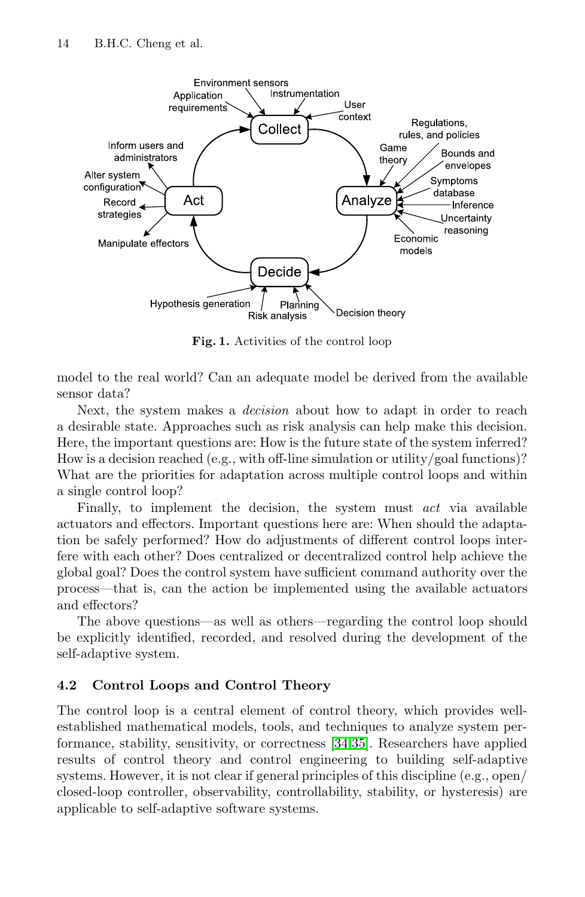

<span id="page-13-0"></span>Fig. 1. Activities of the control loop

model to the real world? Can an adequate model be derived from the available sensor data?

Next, the system makes a *decision* about how to adapt in order to reach a desirable state. Approaches such as risk analysis can help make this decision. Here, the important questions are: How is the future state of the system inferred? How is a decision reached (e.g., with off-line simulation or utility/goal functions)? What are the priorities for adaptation across multiple control loops and within a single control loop?

Finally, to implement the decision, the system must act via available actuators and effectors. Important questions here are: When should the adaptation be safely performed? How do adjustments of different control loops interfere with each other? Does centralized or decentralized control help achieve the global goal? Does the control system have sufficient command authority over the process—that is, can the action be implemented using the available actuators and effectors?

The above questions—as well as others—regarding the control loop should be explicitly identified, recorded, and resolved during the development of the self-adaptive system.

# 4.2 Control Loops and Control Theory

The control loop is a central element of control theory, which provides wellestablished mathematical models, tools, and techniques to analyze system performance, stability, sensitivity, or correctness [\[34,](#page-24-16)[35\]](#page-24-15). Researchers have applied results of control theory and control engineering to building self-adaptive systems. However, it is not clear if general principles of this discipline (e.g., open/ closed-loop controller, observability, controllability, stability, or hysteresis) are applicable to self-adaptive software systems.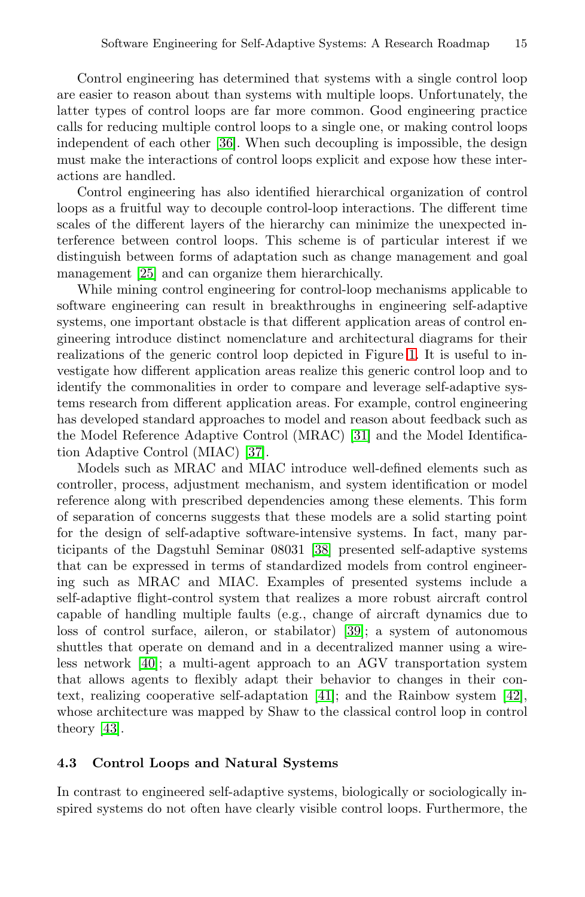Control engineering has determined that systems with a single control loop are easier to reason about than systems with multiple loops. Unfortunately, the latter types of control loops are far more common. Good engineering practice calls for reducing multiple control loops to a single one, or making control loops independent of each other [\[36\]](#page-24-17). When such decoupling is impossible, the design must make the interactions of control loops explicit and expose how these interactions are handled.

Control engineering has also identified hierarchical organization of control loops as a fruitful way to decouple control-loop interactions. The different time scales of the different layers of the hierarchy can minimize the unexpected interference between control loops. This scheme is of particular interest if we distinguish between forms of adaptation such as change management and goal management [\[25\]](#page-24-6) and can organize them hierarchically.

While mining control engineering for control-loop mechanisms applicable to software engineering can result in breakthroughs in engineering self-adaptive systems, one important obstacle is that different application areas of control engineering introduce distinct nomenclature and architectural diagrams for their realizations of the generic control loop depicted in Figure [1.](#page-13-0) It is useful to investigate how different application areas realize this generic control loop and to identify the commonalities in order to compare and leverage self-adaptive systems research from different application areas. For example, control engineering has developed standard approaches to model and reason about feedback such as the Model Reference Adaptive Control (MRAC) [\[31\]](#page-24-12) and the Model Identification Adaptive Control (MIAC) [\[37\]](#page-24-18).

Models such as MRAC and MIAC introduce well-defined elements such as controller, process, adjustment mechanism, and system identification or model reference along with prescribed dependencies among these elements. This form of separation of concerns suggests that these models are a solid starting point for the design of self-adaptive software-intensive systems. In fact, many participants of the Dagstuhl Seminar 08031 [\[38\]](#page-24-19) presented self-adaptive systems that can be expressed in terms of standardized models from control engineering such as MRAC and MIAC. Examples of presented systems include a self-adaptive flight-control system that realizes a more robust aircraft control capable of handling multiple faults (e.g., change of aircraft dynamics due to loss of control surface, aileron, or stabilator) [\[39\]](#page-24-20); a system of autonomous shuttles that operate on demand and in a decentralized manner using a wireless network [\[40\]](#page-25-2); a multi-agent approach to an AGV transportation system that allows agents to flexibly adapt their behavior to changes in their context, realizing cooperative self-adaptation [\[41\]](#page-25-3); and the Rainbow system [\[42\]](#page-25-4), whose architecture was mapped by Shaw to the classical control loop in control theory [\[43\]](#page-25-1).

#### 4.3 Control Loops and Natural Systems

In contrast to engineered self-adaptive systems, biologically or sociologically inspired systems do not often have clearly visible control loops. Furthermore, the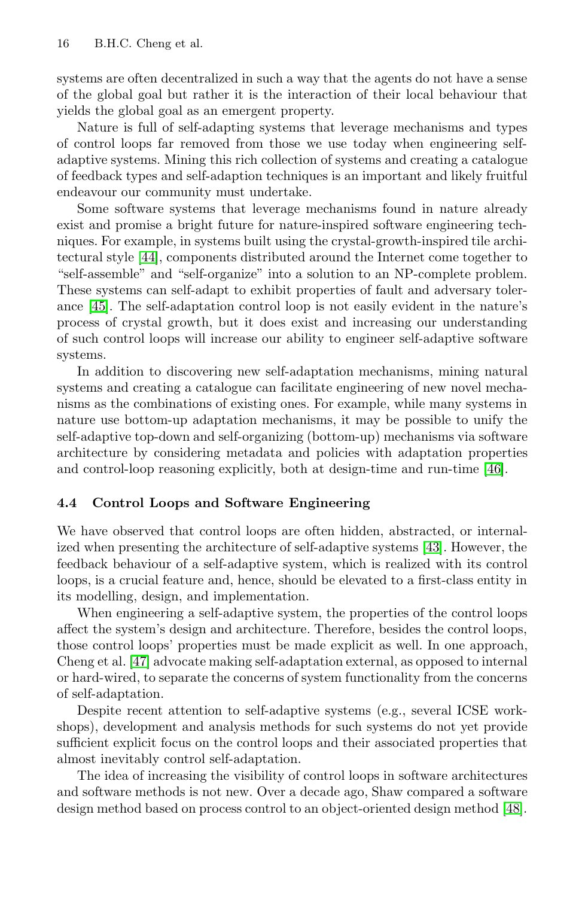systems are often decentralized in such a way that the agents do not have a sense of the global goal but rather it is the interaction of their local behaviour that yields the global goal as an emergent property.

Nature is full of self-adapting systems that leverage mechanisms and types of control loops far removed from those we use today when engineering selfadaptive systems. Mining this rich collection of systems and creating a catalogue of feedback types and self-adaption techniques is an important and likely fruitful endeavour our community must undertake.

Some software systems that leverage mechanisms found in nature already exist and promise a bright future for nature-inspired software engineering techniques. For example, in systems built using the crystal-growth-inspired tile architectural style [\[44\]](#page-25-6), components distributed around the Internet come together to "self-assemble" and "self-organize" into a solution to an NP-complete problem. These systems can self-adapt to exhibit properties of fault and adversary tolerance [\[45\]](#page-25-7). The self-adaptation control loop is not easily evident in the nature's process of crystal growth, but it does exist and increasing our understanding of such control loops will increase our ability to engineer self-adaptive software systems.

In addition to discovering new self-adaptation mechanisms, mining natural systems and creating a catalogue can facilitate engineering of new novel mechanisms as the combinations of existing ones. For example, while many systems in nature use bottom-up adaptation mechanisms, it may be possible to unify the self-adaptive top-down and self-organizing (bottom-up) mechanisms via software architecture by considering metadata and policies with adaptation properties and control-loop reasoning explicitly, both at design-time and run-time [\[46\]](#page-25-8).

### 4.4 Control Loops and Software Engineering

We have observed that control loops are often hidden, abstracted, or internalized when presenting the architecture of self-adaptive systems [\[43\]](#page-25-1). However, the feedback behaviour of a self-adaptive system, which is realized with its control loops, is a crucial feature and, hence, should be elevated to a first-class entity in its modelling, design, and implementation.

When engineering a self-adaptive system, the properties of the control loops affect the system's design and architecture. Therefore, besides the control loops, those control loops' properties must be made explicit as well. In one approach, Cheng et al. [\[47\]](#page-25-9) advocate making self-adaptation external, as opposed to internal or hard-wired, to separate the concerns of system functionality from the concerns of self-adaptation.

Despite recent attention to self-adaptive systems (e.g., several ICSE workshops), development and analysis methods for such systems do not yet provide sufficient explicit focus on the control loops and their associated properties that almost inevitably control self-adaptation.

The idea of increasing the visibility of control loops in software architectures and software methods is not new. Over a decade ago, Shaw compared a software design method based on process control to an object-oriented design method [\[48\]](#page-25-5).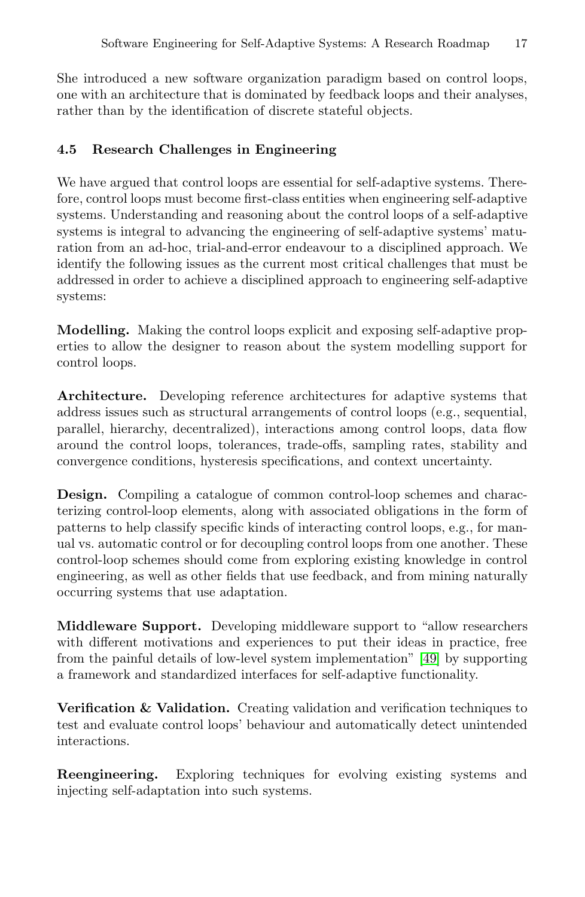She introduced a new software organization paradigm based on control loops, one with an architecture that is dominated by feedback loops and their analyses, rather than by the identification of discrete stateful objects.

# 4.5 Research Challenges in Engineering

We have argued that control loops are essential for self-adaptive systems. Therefore, control loops must become first-class entities when engineering self-adaptive systems. Understanding and reasoning about the control loops of a self-adaptive systems is integral to advancing the engineering of self-adaptive systems' maturation from an ad-hoc, trial-and-error endeavour to a disciplined approach. We identify the following issues as the current most critical challenges that must be addressed in order to achieve a disciplined approach to engineering self-adaptive systems:

Modelling. Making the control loops explicit and exposing self-adaptive properties to allow the designer to reason about the system modelling support for control loops.

Architecture. Developing reference architectures for adaptive systems that address issues such as structural arrangements of control loops (e.g., sequential, parallel, hierarchy, decentralized), interactions among control loops, data flow around the control loops, tolerances, trade-offs, sampling rates, stability and convergence conditions, hysteresis specifications, and context uncertainty.

Design. Compiling a catalogue of common control-loop schemes and characterizing control-loop elements, along with associated obligations in the form of patterns to help classify specific kinds of interacting control loops, e.g., for manual vs. automatic control or for decoupling control loops from one another. These control-loop schemes should come from exploring existing knowledge in control engineering, as well as other fields that use feedback, and from mining naturally occurring systems that use adaptation.

Middleware Support. Developing middleware support to "allow researchers with different motivations and experiences to put their ideas in practice, free from the painful details of low-level system implementation" [\[49\]](#page-25-10) by supporting a framework and standardized interfaces for self-adaptive functionality.

Verification & Validation. Creating validation and verification techniques to test and evaluate control loops' behaviour and automatically detect unintended interactions.

Reengineering. Exploring techniques for evolving existing systems and injecting self-adaptation into such systems.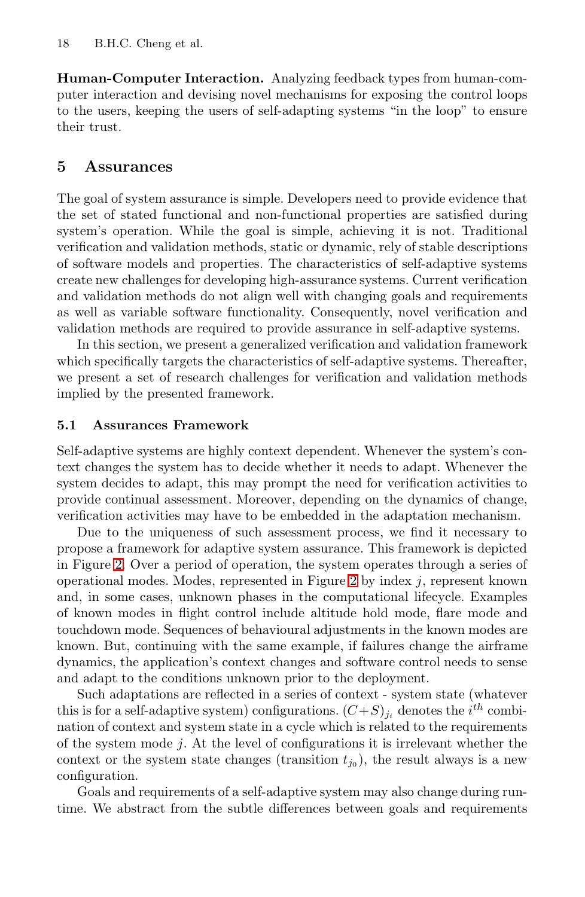<span id="page-17-0"></span>Human-Computer Interaction. Analyzing feedback types from human-computer interaction and devising novel mechanisms for exposing the control loops to the users, keeping the users of self-adapting systems "in the loop" to ensure their trust.

# 5 Assurances

The goal of system assurance is simple. Developers need to provide evidence that the set of stated functional and non-functional properties are satisfied during system's operation. While the goal is simple, achieving it is not. Traditional verification and validation methods, static or dynamic, rely of stable descriptions of software models and properties. The characteristics of self-adaptive systems create new challenges for developing high-assurance systems. Current verification and validation methods do not align well with changing goals and requirements as well as variable software functionality. Consequently, novel verification and validation methods are required to provide assurance in self-adaptive systems.

In this section, we present a generalized verification and validation framework which specifically targets the characteristics of self-adaptive systems. Thereafter, we present a set of research challenges for verification and validation methods implied by the presented framework.

### 5.1 Assurances Framework

Self-adaptive systems are highly context dependent. Whenever the system's context changes the system has to decide whether it needs to adapt. Whenever the system decides to adapt, this may prompt the need for verification activities to provide continual assessment. Moreover, depending on the dynamics of change, verification activities may have to be embedded in the adaptation mechanism.

Due to the uniqueness of such assessment process, we find it necessary to propose a framework for adaptive system assurance. This framework is depicted in Figure [2.](#page-18-0) Over a period of operation, the system operates through a series of operational modes. Modes, represented in Figure [2](#page-18-0) by index  $j$ , represent known and, in some cases, unknown phases in the computational lifecycle. Examples of known modes in flight control include altitude hold mode, flare mode and touchdown mode. Sequences of behavioural adjustments in the known modes are known. But, continuing with the same example, if failures change the airframe dynamics, the application's context changes and software control needs to sense and adapt to the conditions unknown prior to the deployment.

Such adaptations are reflected in a series of context - system state (whatever this is for a self-adaptive system) configurations.  $(C+S)_{j_i}$  denotes the  $i^{th}$  combination of context and system state in a cycle which is related to the requirements of the system mode  $j$ . At the level of configurations it is irrelevant whether the context or the system state changes (transition  $t_{j0}$ ), the result always is a new configuration.

Goals and requirements of a self-adaptive system may also change during runtime. We abstract from the subtle differences between goals and requirements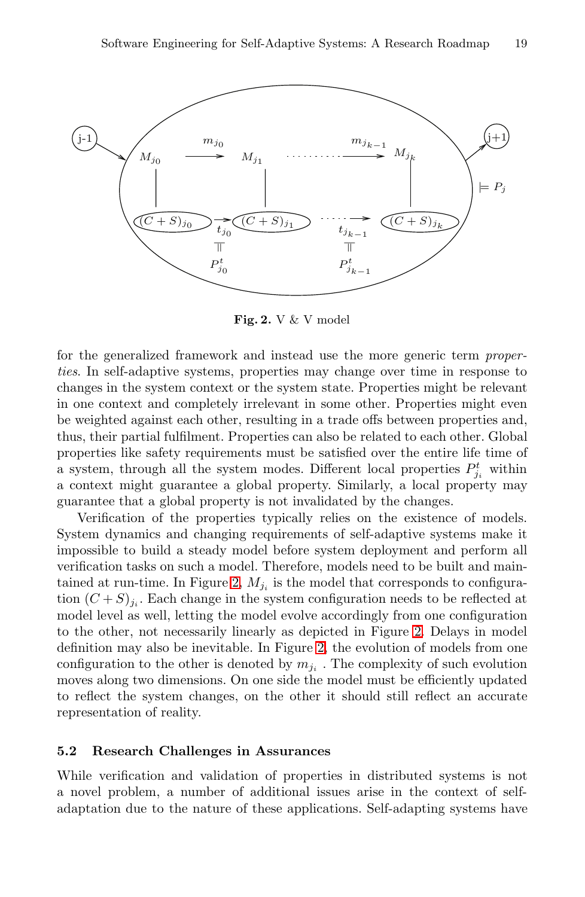

<span id="page-18-0"></span>Fig. 2. V & V model

for the generalized framework and instead use the more generic term properties. In self-adaptive systems, properties may change over time in response to changes in the system context or the system state. Properties might be relevant in one context and completely irrelevant in some other. Properties might even be weighted against each other, resulting in a trade offs between properties and, thus, their partial fulfilment. Properties can also be related to each other. Global properties like safety requirements must be satisfied over the entire life time of a system, through all the system modes. Different local properties  $P_{j_i}^t$  within a context might guarantee a global property. Similarly, a local property may guarantee that a global property is not invalidated by the changes.

Verification of the properties typically relies on the existence of models. System dynamics and changing requirements of self-adaptive systems make it impossible to build a steady model before system deployment and perform all verification tasks on such a model. Therefore, models need to be built and main-tained at run-time. In Figure [2,](#page-18-0)  $M_{i}$  is the model that corresponds to configuration  $(C+S)_{ii}$ . Each change in the system configuration needs to be reflected at model level as well, letting the model evolve accordingly from one configuration to the other, not necessarily linearly as depicted in Figure [2.](#page-18-0) Delays in model definition may also be inevitable. In Figure [2,](#page-18-0) the evolution of models from one configuration to the other is denoted by  $m_{i_i}$ . The complexity of such evolution moves along two dimensions. On one side the model must be efficiently updated to reflect the system changes, on the other it should still reflect an accurate representation of reality.

#### 5.2 Research Challenges in Assurances

While verification and validation of properties in distributed systems is not a novel problem, a number of additional issues arise in the context of selfadaptation due to the nature of these applications. Self-adapting systems have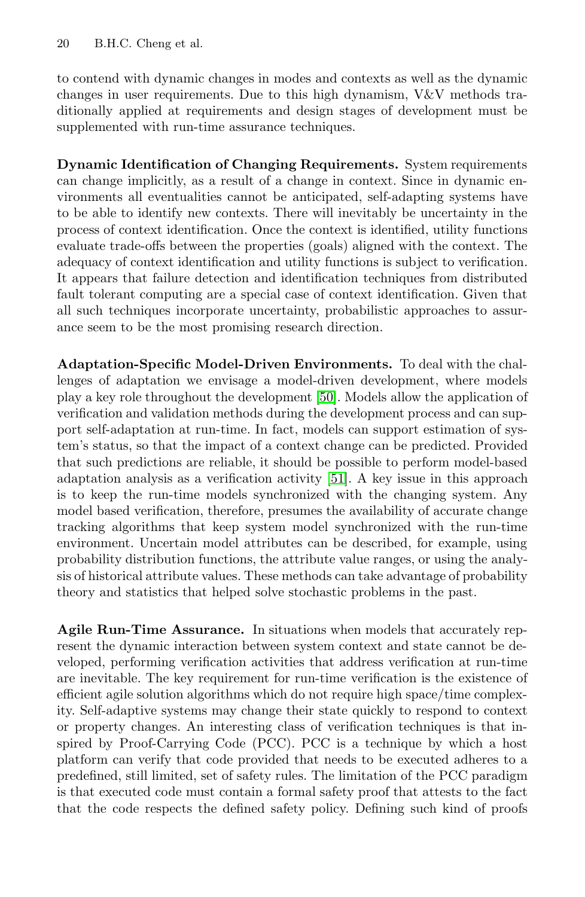to contend with dynamic changes in modes and contexts as well as the dynamic changes in user requirements. Due to this high dynamism, V&V methods traditionally applied at requirements and design stages of development must be supplemented with run-time assurance techniques.

Dynamic Identification of Changing Requirements. System requirements can change implicitly, as a result of a change in context. Since in dynamic environments all eventualities cannot be anticipated, self-adapting systems have to be able to identify new contexts. There will inevitably be uncertainty in the process of context identification. Once the context is identified, utility functions evaluate trade-offs between the properties (goals) aligned with the context. The adequacy of context identification and utility functions is subject to verification. It appears that failure detection and identification techniques from distributed fault tolerant computing are a special case of context identification. Given that all such techniques incorporate uncertainty, probabilistic approaches to assurance seem to be the most promising research direction.

Adaptation-Specific Model-Driven Environments. To deal with the challenges of adaptation we envisage a model-driven development, where models play a key role throughout the development [\[50\]](#page-25-12). Models allow the application of verification and validation methods during the development process and can support self-adaptation at run-time. In fact, models can support estimation of system's status, so that the impact of a context change can be predicted. Provided that such predictions are reliable, it should be possible to perform model-based adaptation analysis as a verification activity [\[51\]](#page-25-11). A key issue in this approach is to keep the run-time models synchronized with the changing system. Any model based verification, therefore, presumes the availability of accurate change tracking algorithms that keep system model synchronized with the run-time environment. Uncertain model attributes can be described, for example, using probability distribution functions, the attribute value ranges, or using the analysis of historical attribute values. These methods can take advantage of probability theory and statistics that helped solve stochastic problems in the past.

Agile Run-Time Assurance. In situations when models that accurately represent the dynamic interaction between system context and state cannot be developed, performing verification activities that address verification at run-time are inevitable. The key requirement for run-time verification is the existence of efficient agile solution algorithms which do not require high space/time complexity. Self-adaptive systems may change their state quickly to respond to context or property changes. An interesting class of verification techniques is that inspired by Proof-Carrying Code (PCC). PCC is a technique by which a host platform can verify that code provided that needs to be executed adheres to a predefined, still limited, set of safety rules. The limitation of the PCC paradigm is that executed code must contain a formal safety proof that attests to the fact that the code respects the defined safety policy. Defining such kind of proofs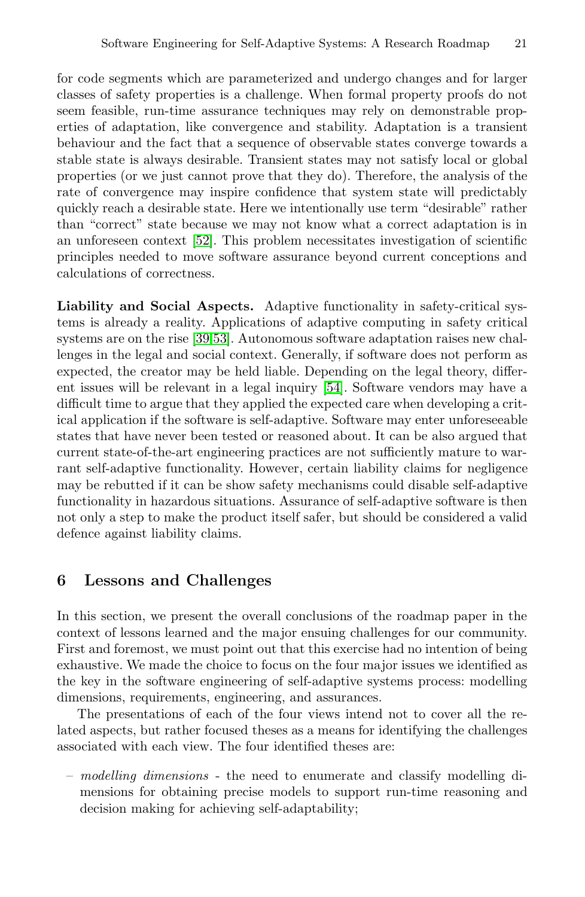for code segments which are parameterized and undergo changes and for larger classes of safety properties is a challenge. When formal property proofs do not seem feasible, run-time assurance techniques may rely on demonstrable properties of adaptation, like convergence and stability. Adaptation is a transient behaviour and the fact that a sequence of observable states converge towards a stable state is always desirable. Transient states may not satisfy local or global properties (or we just cannot prove that they do). Therefore, the analysis of the rate of convergence may inspire confidence that system state will predictably quickly reach a desirable state. Here we intentionally use term "desirable" rather than "correct" state because we may not know what a correct adaptation is in an unforeseen context [\[52\]](#page-25-14). This problem necessitates investigation of scientific principles needed to move software assurance beyond current conceptions and calculations of correctness.

<span id="page-20-0"></span>Liability and Social Aspects. Adaptive functionality in safety-critical systems is already a reality. Applications of adaptive computing in safety critical systems are on the rise [\[39,](#page-24-20)[53\]](#page-25-15). Autonomous software adaptation raises new challenges in the legal and social context. Generally, if software does not perform as expected, the creator may be held liable. Depending on the legal theory, different issues will be relevant in a legal inquiry [\[54\]](#page-25-13). Software vendors may have a difficult time to argue that they applied the expected care when developing a critical application if the software is self-adaptive. Software may enter unforeseeable states that have never been tested or reasoned about. It can be also argued that current state-of-the-art engineering practices are not sufficiently mature to warrant self-adaptive functionality. However, certain liability claims for negligence may be rebutted if it can be show safety mechanisms could disable self-adaptive functionality in hazardous situations. Assurance of self-adaptive software is then not only a step to make the product itself safer, but should be considered a valid defence against liability claims.

# 6 Lessons and Challenges

In this section, we present the overall conclusions of the roadmap paper in the context of lessons learned and the major ensuing challenges for our community. First and foremost, we must point out that this exercise had no intention of being exhaustive. We made the choice to focus on the four major issues we identified as the key in the software engineering of self-adaptive systems process: modelling dimensions, requirements, engineering, and assurances.

The presentations of each of the four views intend not to cover all the related aspects, but rather focused theses as a means for identifying the challenges associated with each view. The four identified theses are:

– modelling dimensions - the need to enumerate and classify modelling dimensions for obtaining precise models to support run-time reasoning and decision making for achieving self-adaptability;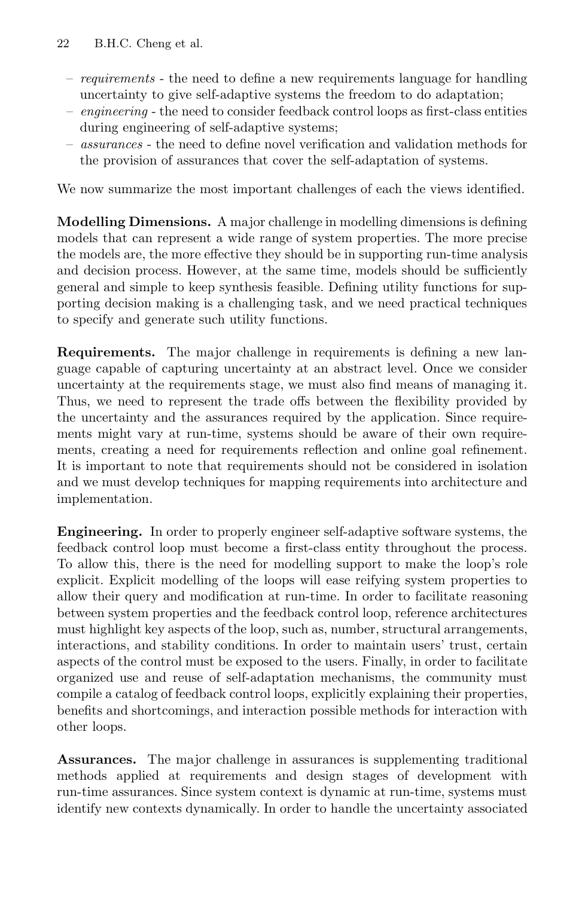- requirements the need to define a new requirements language for handling uncertainty to give self-adaptive systems the freedom to do adaptation;
- engineering the need to consider feedback control loops as first-class entities during engineering of self-adaptive systems;
- assurances the need to define novel verification and validation methods for the provision of assurances that cover the self-adaptation of systems.

We now summarize the most important challenges of each the views identified.

Modelling Dimensions. A major challenge in modelling dimensions is defining models that can represent a wide range of system properties. The more precise the models are, the more effective they should be in supporting run-time analysis and decision process. However, at the same time, models should be sufficiently general and simple to keep synthesis feasible. Defining utility functions for supporting decision making is a challenging task, and we need practical techniques to specify and generate such utility functions.

Requirements. The major challenge in requirements is defining a new language capable of capturing uncertainty at an abstract level. Once we consider uncertainty at the requirements stage, we must also find means of managing it. Thus, we need to represent the trade offs between the flexibility provided by the uncertainty and the assurances required by the application. Since requirements might vary at run-time, systems should be aware of their own requirements, creating a need for requirements reflection and online goal refinement. It is important to note that requirements should not be considered in isolation and we must develop techniques for mapping requirements into architecture and implementation.

Engineering. In order to properly engineer self-adaptive software systems, the feedback control loop must become a first-class entity throughout the process. To allow this, there is the need for modelling support to make the loop's role explicit. Explicit modelling of the loops will ease reifying system properties to allow their query and modification at run-time. In order to facilitate reasoning between system properties and the feedback control loop, reference architectures must highlight key aspects of the loop, such as, number, structural arrangements, interactions, and stability conditions. In order to maintain users' trust, certain aspects of the control must be exposed to the users. Finally, in order to facilitate organized use and reuse of self-adaptation mechanisms, the community must compile a catalog of feedback control loops, explicitly explaining their properties, benefits and shortcomings, and interaction possible methods for interaction with other loops.

Assurances. The major challenge in assurances is supplementing traditional methods applied at requirements and design stages of development with run-time assurances. Since system context is dynamic at run-time, systems must identify new contexts dynamically. In order to handle the uncertainty associated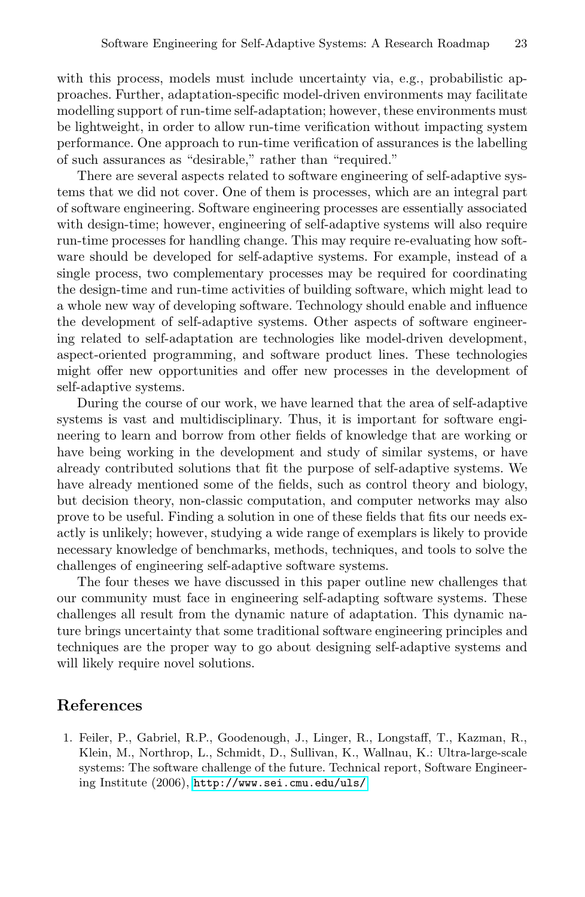with this process, models must include uncertainty via, e.g., probabilistic approaches. Further, adaptation-specific model-driven environments may facilitate modelling support of run-time self-adaptation; however, these environments must be lightweight, in order to allow run-time verification without impacting system performance. One approach to run-time verification of assurances is the labelling of such assurances as "desirable," rather than "required."

There are several aspects related to software engineering of self-adaptive systems that we did not cover. One of them is processes, which are an integral part of software engineering. Software engineering processes are essentially associated with design-time; however, engineering of self-adaptive systems will also require run-time processes for handling change. This may require re-evaluating how software should be developed for self-adaptive systems. For example, instead of a single process, two complementary processes may be required for coordinating the design-time and run-time activities of building software, which might lead to a whole new way of developing software. Technology should enable and influence the development of self-adaptive systems. Other aspects of software engineering related to self-adaptation are technologies like model-driven development, aspect-oriented programming, and software product lines. These technologies might offer new opportunities and offer new processes in the development of self-adaptive systems.

During the course of our work, we have learned that the area of self-adaptive systems is vast and multidisciplinary. Thus, it is important for software engineering to learn and borrow from other fields of knowledge that are working or have being working in the development and study of similar systems, or have already contributed solutions that fit the purpose of self-adaptive systems. We have already mentioned some of the fields, such as control theory and biology, but decision theory, non-classic computation, and computer networks may also prove to be useful. Finding a solution in one of these fields that fits our needs exactly is unlikely; however, studying a wide range of exemplars is likely to provide necessary knowledge of benchmarks, methods, techniques, and tools to solve the challenges of engineering self-adaptive software systems.

<span id="page-22-0"></span>The four theses we have discussed in this paper outline new challenges that our community must face in engineering self-adapting software systems. These challenges all result from the dynamic nature of adaptation. This dynamic nature brings uncertainty that some traditional software engineering principles and techniques are the proper way to go about designing self-adaptive systems and will likely require novel solutions.

# References

1. Feiler, P., Gabriel, R.P., Goodenough, J., Linger, R., Longstaff, T., Kazman, R., Klein, M., Northrop, L., Schmidt, D., Sullivan, K., Wallnau, K.: Ultra-large-scale systems: The software challenge of the future. Technical report, Software Engineering Institute (2006), <http://www.sei.cmu.edu/uls/>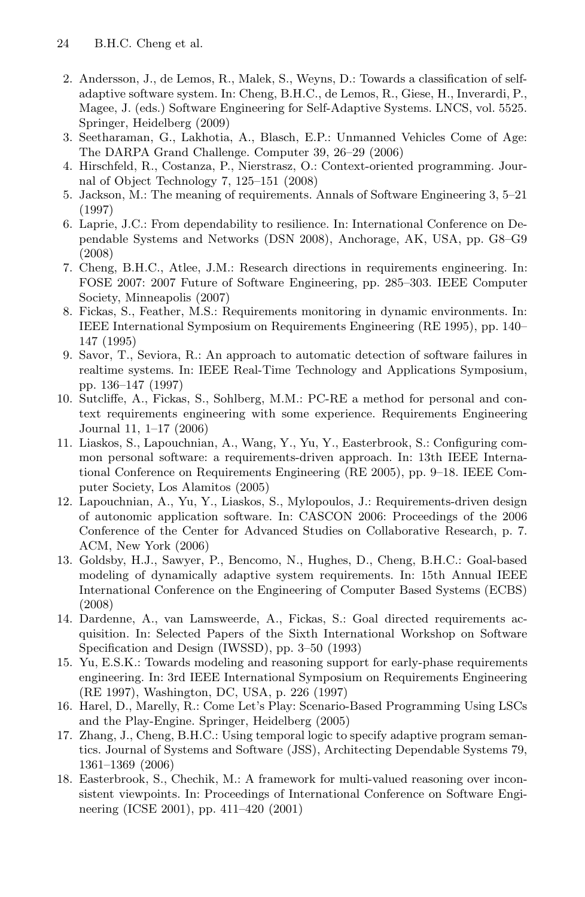- <span id="page-23-4"></span><span id="page-23-3"></span><span id="page-23-2"></span><span id="page-23-1"></span><span id="page-23-0"></span>2. Andersson, J., de Lemos, R., Malek, S., Weyns, D.: Towards a classification of selfadaptive software system. In: Cheng, B.H.C., de Lemos, R., Giese, H., Inverardi, P., Magee, J. (eds.) Software Engineering for Self-Adaptive Systems. LNCS, vol. 5525. Springer, Heidelberg (2009)
- <span id="page-23-6"></span>3. Seetharaman, G., Lakhotia, A., Blasch, E.P.: Unmanned Vehicles Come of Age: The DARPA Grand Challenge. Computer 39, 26–29 (2006)
- <span id="page-23-7"></span>4. Hirschfeld, R., Costanza, P., Nierstrasz, O.: Context-oriented programming. Journal of Object Technology 7, 125–151 (2008)
- 5. Jackson, M.: The meaning of requirements. Annals of Software Engineering 3, 5–21 (1997)
- <span id="page-23-8"></span>6. Laprie, J.C.: From dependability to resilience. In: International Conference on Dependable Systems and Networks (DSN 2008), Anchorage, AK, USA, pp. G8–G9 (2008)
- <span id="page-23-9"></span>7. Cheng, B.H.C., Atlee, J.M.: Research directions in requirements engineering. In: FOSE 2007: 2007 Future of Software Engineering, pp. 285–303. IEEE Computer Society, Minneapolis (2007)
- <span id="page-23-10"></span>8. Fickas, S., Feather, M.S.: Requirements monitoring in dynamic environments. In: IEEE International Symposium on Requirements Engineering (RE 1995), pp. 140– 147 (1995)
- <span id="page-23-11"></span>9. Savor, T., Seviora, R.: An approach to automatic detection of software failures in realtime systems. In: IEEE Real-Time Technology and Applications Symposium, pp. 136–147 (1997)
- 10. Sutcliffe, A., Fickas, S., Sohlberg, M.M.: PC-RE a method for personal and context requirements engineering with some experience. Requirements Engineering Journal 11, 1–17 (2006)
- <span id="page-23-5"></span>11. Liaskos, S., Lapouchnian, A., Wang, Y., Yu, Y., Easterbrook, S.: Configuring common personal software: a requirements-driven approach. In: 13th IEEE International Conference on Requirements Engineering (RE 2005), pp. 9–18. IEEE Computer Society, Los Alamitos (2005)
- <span id="page-23-14"></span><span id="page-23-13"></span>12. Lapouchnian, A., Yu, Y., Liaskos, S., Mylopoulos, J.: Requirements-driven design of autonomic application software. In: CASCON 2006: Proceedings of the 2006 Conference of the Center for Advanced Studies on Collaborative Research, p. 7. ACM, New York (2006)
- <span id="page-23-12"></span>13. Goldsby, H.J., Sawyer, P., Bencomo, N., Hughes, D., Cheng, B.H.C.: Goal-based modeling of dynamically adaptive system requirements. In: 15th Annual IEEE International Conference on the Engineering of Computer Based Systems (ECBS) (2008)
- <span id="page-23-15"></span>14. Dardenne, A., van Lamsweerde, A., Fickas, S.: Goal directed requirements acquisition. In: Selected Papers of the Sixth International Workshop on Software Specification and Design (IWSSD), pp. 3–50 (1993)
- <span id="page-23-16"></span>15. Yu, E.S.K.: Towards modeling and reasoning support for early-phase requirements engineering. In: 3rd IEEE International Symposium on Requirements Engineering (RE 1997), Washington, DC, USA, p. 226 (1997)
- 16. Harel, D., Marelly, R.: Come Let's Play: Scenario-Based Programming Using LSCs and the Play-Engine. Springer, Heidelberg (2005)
- 17. Zhang, J., Cheng, B.H.C.: Using temporal logic to specify adaptive program semantics. Journal of Systems and Software (JSS), Architecting Dependable Systems 79, 1361–1369 (2006)
- 18. Easterbrook, S., Chechik, M.: A framework for multi-valued reasoning over inconsistent viewpoints. In: Proceedings of International Conference on Software Engineering (ICSE 2001), pp. 411–420 (2001)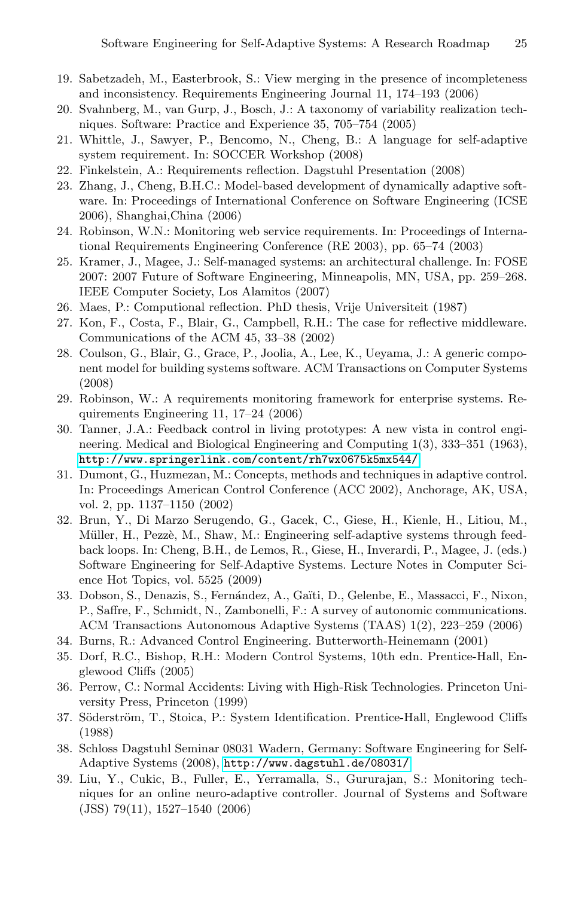- <span id="page-24-4"></span><span id="page-24-3"></span><span id="page-24-2"></span><span id="page-24-1"></span><span id="page-24-0"></span>19. Sabetzadeh, M., Easterbrook, S.: View merging in the presence of incompleteness and inconsistency. Requirements Engineering Journal 11, 174–193 (2006)
- <span id="page-24-5"></span>20. Svahnberg, M., van Gurp, J., Bosch, J.: A taxonomy of variability realization techniques. Software: Practice and Experience 35, 705–754 (2005)
- <span id="page-24-6"></span>21. Whittle, J., Sawyer, P., Bencomo, N., Cheng, B.: A language for self-adaptive system requirement. In: SOCCER Workshop (2008)
- <span id="page-24-7"></span>22. Finkelstein, A.: Requirements reflection. Dagstuhl Presentation (2008)
- <span id="page-24-8"></span>23. Zhang, J., Cheng, B.H.C.: Model-based development of dynamically adaptive software. In: Proceedings of International Conference on Software Engineering (ICSE 2006), Shanghai,China (2006)
- <span id="page-24-9"></span>24. Robinson, W.N.: Monitoring web service requirements. In: Proceedings of International Requirements Engineering Conference (RE 2003), pp. 65–74 (2003)
- <span id="page-24-10"></span>25. Kramer, J., Magee, J.: Self-managed systems: an architectural challenge. In: FOSE 2007: 2007 Future of Software Engineering, Minneapolis, MN, USA, pp. 259–268. IEEE Computer Society, Los Alamitos (2007)
- <span id="page-24-11"></span>26. Maes, P.: Computional reflection. PhD thesis, Vrije Universiteit (1987)
- 27. Kon, F., Costa, F., Blair, G., Campbell, R.H.: The case for reflective middleware. Communications of the ACM 45, 33–38 (2002)
- <span id="page-24-12"></span>28. Coulson, G., Blair, G., Grace, P., Joolia, A., Lee, K., Ueyama, J.: A generic component model for building systems software. ACM Transactions on Computer Systems (2008)
- <span id="page-24-13"></span>29. Robinson, W.: A requirements monitoring framework for enterprise systems. Requirements Engineering 11, 17–24 (2006)
- 30. Tanner, J.A.: Feedback control in living prototypes: A new vista in control engineering. Medical and Biological Engineering and Computing 1(3), 333–351 (1963), <http://www.springerlink.com/content/rh7wx0675k5mx544/>
- <span id="page-24-14"></span>31. Dumont, G., Huzmezan, M.: Concepts, methods and techniques in adaptive control. In: Proceedings American Control Conference (ACC 2002), Anchorage, AK, USA, vol. 2, pp. 1137–1150 (2002)
- <span id="page-24-17"></span><span id="page-24-16"></span><span id="page-24-15"></span>32. Brun, Y., Di Marzo Serugendo, G., Gacek, C., Giese, H., Kienle, H., Litiou, M., Müller, H., Pezzè, M., Shaw, M.: Engineering self-adaptive systems through feedback loops. In: Cheng, B.H., de Lemos, R., Giese, H., Inverardi, P., Magee, J. (eds.) Software Engineering for Self-Adaptive Systems. Lecture Notes in Computer Science Hot Topics, vol. 5525 (2009)
- <span id="page-24-19"></span><span id="page-24-18"></span>33. Dobson, S., Denazis, S., Fernández, A., Gaïti, D., Gelenbe, E., Massacci, F., Nixon, P., Saffre, F., Schmidt, N., Zambonelli, F.: A survey of autonomic communications. ACM Transactions Autonomous Adaptive Systems (TAAS) 1(2), 223–259 (2006)
- <span id="page-24-20"></span>34. Burns, R.: Advanced Control Engineering. Butterworth-Heinemann (2001)
- 35. Dorf, R.C., Bishop, R.H.: Modern Control Systems, 10th edn. Prentice-Hall, Englewood Cliffs (2005)
- 36. Perrow, C.: Normal Accidents: Living with High-Risk Technologies. Princeton University Press, Princeton (1999)
- 37. Söderström, T., Stoica, P.: System Identification. Prentice-Hall, Englewood Cliffs (1988)
- 38. Schloss Dagstuhl Seminar 08031 Wadern, Germany: Software Engineering for Self-Adaptive Systems (2008), <http://www.dagstuhl.de/08031/>
- 39. Liu, Y., Cukic, B., Fuller, E., Yerramalla, S., Gururajan, S.: Monitoring techniques for an online neuro-adaptive controller. Journal of Systems and Software (JSS) 79(11), 1527–1540 (2006)